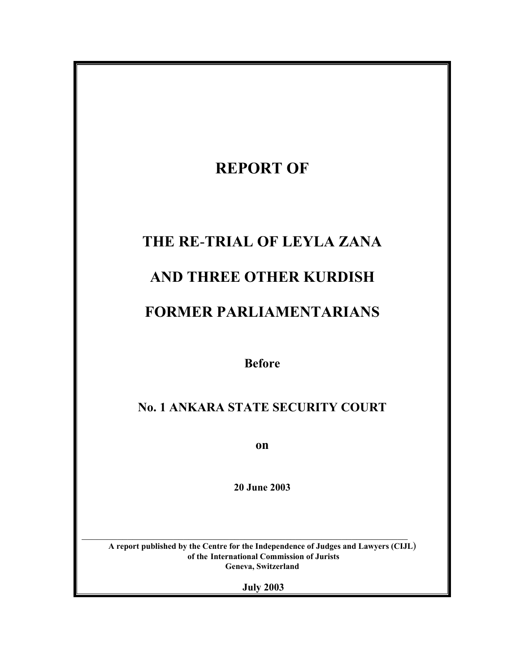# **REPORT OF THE RE**-**TRIAL OF LEYLA ZANA AND THREE OTHER KURDISH FORMER PARLIAMENTARIANS Before No. 1 ANKARA STATE SECURITY COURT**

**on**

**20 June 2003**

**A report published by the Centre for the Independence of Judges and Lawyers (CIJL**) **of the International Commission of Jurists Geneva, Switzerland**

 $\mathcal{L}_\text{max} = \frac{1}{2} \sum_{i=1}^n \mathcal{L}_\text{max}(\mathbf{z}_i - \mathbf{z}_i)$ 

**July 2003**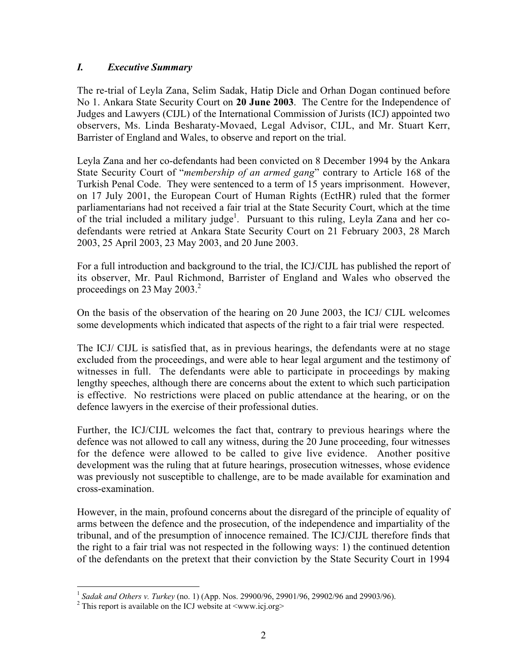## *I. Executive Summary*

The re-trial of Leyla Zana, Selim Sadak, Hatip Dicle and Orhan Dogan continued before No 1. Ankara State Security Court on **20 June 2003**. The Centre for the Independence of Judges and Lawyers (CIJL) of the International Commission of Jurists (ICJ) appointed two observers, Ms. Linda Besharaty-Movaed, Legal Advisor, CIJL, and Mr. Stuart Kerr, Barrister of England and Wales, to observe and report on the trial.

Leyla Zana and her co-defendants had been convicted on 8 December 1994 by the Ankara State Security Court of "*membership of an armed gang*" contrary to Article 168 of the Turkish Penal Code. They were sentenced to a term of 15 years imprisonment. However, on 17 July 2001, the European Court of Human Rights (EctHR) ruled that the former parliamentarians had not received a fair trial at the State Security Court, which at the time of the trial included a military judge<sup>1</sup>. Pursuant to this ruling, Leyla Zana and her codefendants were retried at Ankara State Security Court on 21 February 2003, 28 March 2003, 25 April 2003, 23 May 2003, and 20 June 2003.

For a full introduction and background to the trial, the ICJ/CIJL has published the report of its observer, Mr. Paul Richmond, Barrister of England and Wales who observed the proceedings on 23 May 2003. $^2$ 

On the basis of the observation of the hearing on 20 June 2003, the ICJ/ CIJL welcomes some developments which indicated that aspects of the right to a fair trial were respected.

The ICJ/ CIJL is satisfied that, as in previous hearings, the defendants were at no stage excluded from the proceedings, and were able to hear legal argument and the testimony of witnesses in full. The defendants were able to participate in proceedings by making lengthy speeches, although there are concerns about the extent to which such participation is effective. No restrictions were placed on public attendance at the hearing, or on the defence lawyers in the exercise of their professional duties.

Further, the ICJ/CIJL welcomes the fact that, contrary to previous hearings where the defence was not allowed to call any witness, during the 20 June proceeding, four witnesses for the defence were allowed to be called to give live evidence. Another positive development was the ruling that at future hearings, prosecution witnesses, whose evidence was previously not susceptible to challenge, are to be made available for examination and cross-examination.

However, in the main, profound concerns about the disregard of the principle of equality of arms between the defence and the prosecution, of the independence and impartiality of the tribunal, and of the presumption of innocence remained. The ICJ/CIJL therefore finds that the right to a fair trial was not respected in the following ways: 1) the continued detention of the defendants on the pretext that their conviction by the State Security Court in 1994

<sup>&</sup>lt;sup>1</sup> Sadak and Others v. Turkey (no. 1) (App. Nos. 29900/96, 29901/96, 29902/96 and 29903/96).

<sup>&</sup>lt;sup>2</sup> This report is available on the ICJ website at  $\langle$ www.icj.org>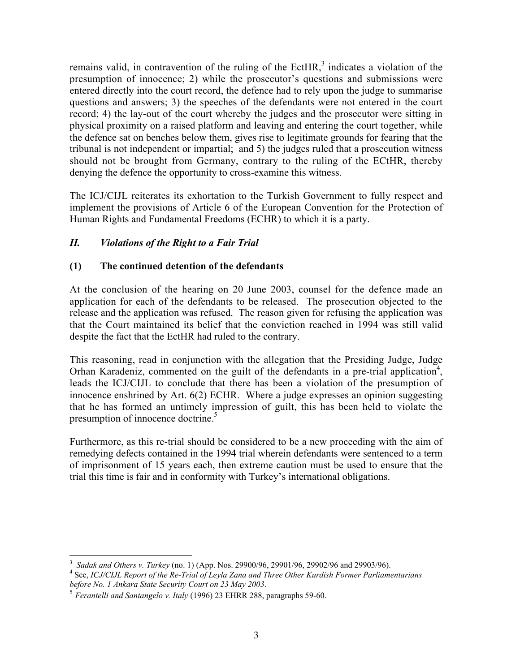remains valid, in contravention of the ruling of the EctHR,<sup>3</sup> indicates a violation of the presumption of innocence; 2) while the prosecutor's questions and submissions were entered directly into the court record, the defence had to rely upon the judge to summarise questions and answers; 3) the speeches of the defendants were not entered in the court record; 4) the lay-out of the court whereby the judges and the prosecutor were sitting in physical proximity on a raised platform and leaving and entering the court together, while the defence sat on benches below them, gives rise to legitimate grounds for fearing that the tribunal is not independent or impartial; and 5) the judges ruled that a prosecution witness should not be brought from Germany, contrary to the ruling of the ECtHR, thereby denying the defence the opportunity to cross-examine this witness.

The ICJ/CIJL reiterates its exhortation to the Turkish Government to fully respect and implement the provisions of Article 6 of the European Convention for the Protection of Human Rights and Fundamental Freedoms (ECHR) to which it is a party.

#### *II. Violations of the Right to a Fair Trial*

#### **(1) The continued detention of the defendants**

At the conclusion of the hearing on 20 June 2003, counsel for the defence made an application for each of the defendants to be released. The prosecution objected to the release and the application was refused. The reason given for refusing the application was that the Court maintained its belief that the conviction reached in 1994 was still valid despite the fact that the EctHR had ruled to the contrary.

This reasoning, read in conjunction with the allegation that the Presiding Judge, Judge Orhan Karadeniz, commented on the guilt of the defendants in a pre-trial application<sup>4</sup>, leads the ICJ/CIJL to conclude that there has been a violation of the presumption of innocence enshrined by Art. 6(2) ECHR. Where a judge expresses an opinion suggesting that he has formed an untimely impression of guilt, this has been held to violate the presumption of innocence doctrine.<sup>5</sup>

Furthermore, as this re-trial should be considered to be a new proceeding with the aim of remedying defects contained in the 1994 trial wherein defendants were sentenced to a term of imprisonment of 15 years each, then extreme caution must be used to ensure that the trial this time is fair and in conformity with Turkey's international obligations.

3 <sup>3</sup> Sadak and Others v. Turkey (no. 1) (App. Nos. 29900/96, 29901/96, 29902/96 and 29903/96).

See, *ICJ/CIJL Report of the Re-Trial of Leyla Zana and Three Other Kurdish Former Parliamentarians before No. 1 Ankara State Security Court on 23 May 2003*.

<sup>5</sup> *Ferantelli and Santangelo v. Italy* (1996) 23 EHRR 288, paragraphs 59-60.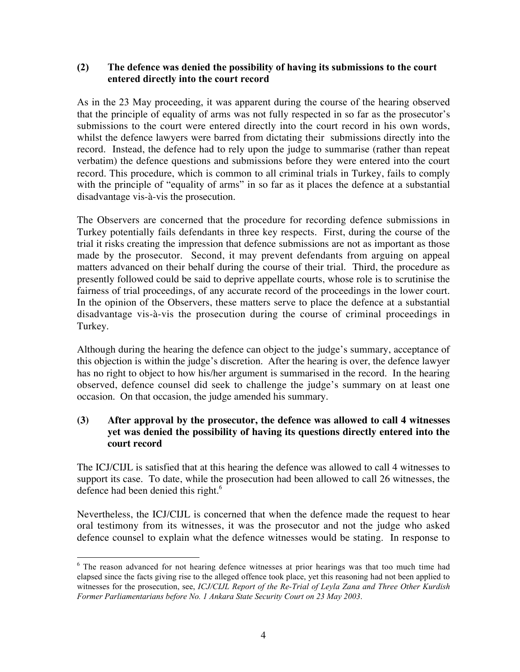#### **(2) The defence was denied the possibility of having its submissions to the court entered directly into the court record**

As in the 23 May proceeding, it was apparent during the course of the hearing observed that the principle of equality of arms was not fully respected in so far as the prosecutor's submissions to the court were entered directly into the court record in his own words, whilst the defence lawyers were barred from dictating their submissions directly into the record. Instead, the defence had to rely upon the judge to summarise (rather than repeat verbatim) the defence questions and submissions before they were entered into the court record. This procedure, which is common to all criminal trials in Turkey, fails to comply with the principle of "equality of arms" in so far as it places the defence at a substantial disadvantage vis-à-vis the prosecution.

The Observers are concerned that the procedure for recording defence submissions in Turkey potentially fails defendants in three key respects. First, during the course of the trial it risks creating the impression that defence submissions are not as important as those made by the prosecutor. Second, it may prevent defendants from arguing on appeal matters advanced on their behalf during the course of their trial. Third, the procedure as presently followed could be said to deprive appellate courts, whose role is to scrutinise the fairness of trial proceedings, of any accurate record of the proceedings in the lower court. In the opinion of the Observers, these matters serve to place the defence at a substantial disadvantage vis-à-vis the prosecution during the course of criminal proceedings in Turkey.

Although during the hearing the defence can object to the judge's summary, acceptance of this objection is within the judge's discretion. After the hearing is over, the defence lawyer has no right to object to how his/her argument is summarised in the record. In the hearing observed, defence counsel did seek to challenge the judge's summary on at least one occasion. On that occasion, the judge amended his summary.

# **(3) After approval by the prosecutor, the defence was allowed to call 4 witnesses yet was denied the possibility of having its questions directly entered into the court record**

The ICJ/CIJL is satisfied that at this hearing the defence was allowed to call 4 witnesses to support its case. To date, while the prosecution had been allowed to call 26 witnesses, the defence had been denied this right.<sup>6</sup>

Nevertheless, the ICJ/CIJL is concerned that when the defence made the request to hear oral testimony from its witnesses, it was the prosecutor and not the judge who asked defence counsel to explain what the defence witnesses would be stating. In response to

<sup>&</sup>lt;sup>6</sup> The reason advanced for not hearing defence witnesses at prior hearings was that too much time had elapsed since the facts giving rise to the alleged offence took place, yet this reasoning had not been applied to witnesses for the prosecution, see, *ICJ/CIJL Report of the Re-Trial of Leyla Zana and Three Other Kurdish Former Parliamentarians before No. 1 Ankara State Security Court on 23 May 2003*.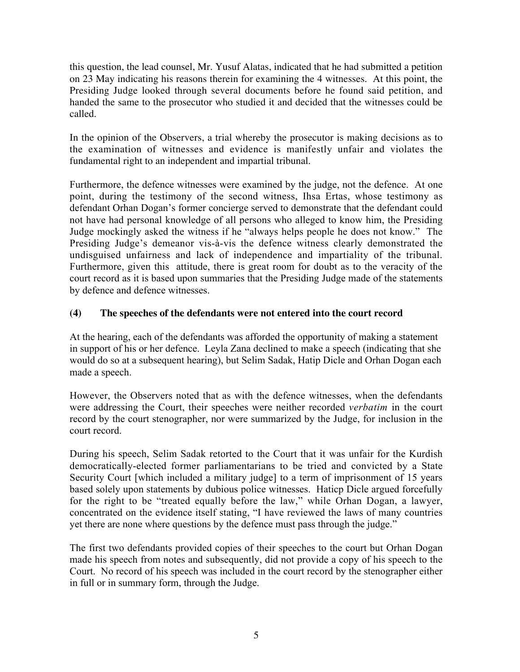this question, the lead counsel, Mr. Yusuf Alatas, indicated that he had submitted a petition on 23 May indicating his reasons therein for examining the 4 witnesses. At this point, the Presiding Judge looked through several documents before he found said petition, and handed the same to the prosecutor who studied it and decided that the witnesses could be called.

In the opinion of the Observers, a trial whereby the prosecutor is making decisions as to the examination of witnesses and evidence is manifestly unfair and violates the fundamental right to an independent and impartial tribunal.

Furthermore, the defence witnesses were examined by the judge, not the defence. At one point, during the testimony of the second witness, Ihsa Ertas, whose testimony as defendant Orhan Dogan's former concierge served to demonstrate that the defendant could not have had personal knowledge of all persons who alleged to know him, the Presiding Judge mockingly asked the witness if he "always helps people he does not know." The Presiding Judge's demeanor vis-à-vis the defence witness clearly demonstrated the undisguised unfairness and lack of independence and impartiality of the tribunal. Furthermore, given this attitude, there is great room for doubt as to the veracity of the court record as it is based upon summaries that the Presiding Judge made of the statements by defence and defence witnesses.

#### **(4) The speeches of the defendants were not entered into the court record**

At the hearing, each of the defendants was afforded the opportunity of making a statement in support of his or her defence. Leyla Zana declined to make a speech (indicating that she would do so at a subsequent hearing), but Selim Sadak, Hatip Dicle and Orhan Dogan each made a speech.

However, the Observers noted that as with the defence witnesses, when the defendants were addressing the Court, their speeches were neither recorded *verbatim* in the court record by the court stenographer, nor were summarized by the Judge, for inclusion in the court record.

During his speech, Selim Sadak retorted to the Court that it was unfair for the Kurdish democratically-elected former parliamentarians to be tried and convicted by a State Security Court [which included a military judge] to a term of imprisonment of 15 years based solely upon statements by dubious police witnesses. Haticp Dicle argued forcefully for the right to be "treated equally before the law," while Orhan Dogan, a lawyer, concentrated on the evidence itself stating, "I have reviewed the laws of many countries yet there are none where questions by the defence must pass through the judge."

The first two defendants provided copies of their speeches to the court but Orhan Dogan made his speech from notes and subsequently, did not provide a copy of his speech to the Court. No record of his speech was included in the court record by the stenographer either in full or in summary form, through the Judge.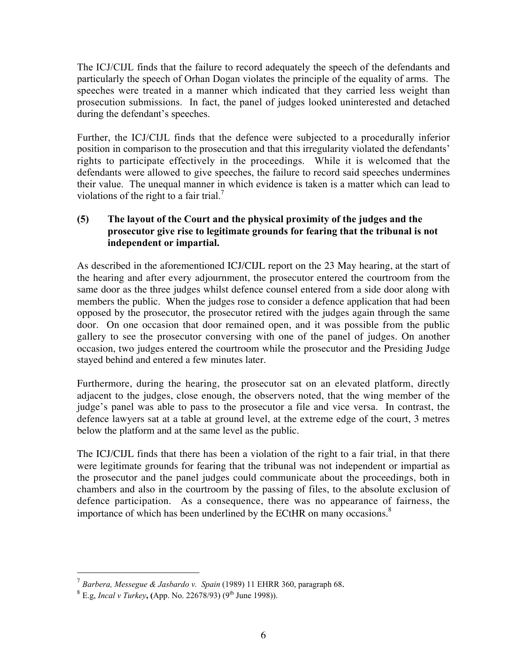The ICJ/CIJL finds that the failure to record adequately the speech of the defendants and particularly the speech of Orhan Dogan violates the principle of the equality of arms. The speeches were treated in a manner which indicated that they carried less weight than prosecution submissions. In fact, the panel of judges looked uninterested and detached during the defendant's speeches.

Further, the ICJ/CIJL finds that the defence were subjected to a procedurally inferior position in comparison to the prosecution and that this irregularity violated the defendants' rights to participate effectively in the proceedings. While it is welcomed that the defendants were allowed to give speeches, the failure to record said speeches undermines their value. The unequal manner in which evidence is taken is a matter which can lead to violations of the right to a fair trial.<sup>7</sup>

## **(5) The layout of the Court and the physical proximity of the judges and the prosecutor give rise to legitimate grounds for fearing that the tribunal is not independent or impartial.**

As described in the aforementioned ICJ/CIJL report on the 23 May hearing, at the start of the hearing and after every adjournment, the prosecutor entered the courtroom from the same door as the three judges whilst defence counsel entered from a side door along with members the public. When the judges rose to consider a defence application that had been opposed by the prosecutor, the prosecutor retired with the judges again through the same door. On one occasion that door remained open, and it was possible from the public gallery to see the prosecutor conversing with one of the panel of judges. On another occasion, two judges entered the courtroom while the prosecutor and the Presiding Judge stayed behind and entered a few minutes later.

Furthermore, during the hearing, the prosecutor sat on an elevated platform, directly adjacent to the judges, close enough, the observers noted, that the wing member of the judge's panel was able to pass to the prosecutor a file and vice versa. In contrast, the defence lawyers sat at a table at ground level, at the extreme edge of the court, 3 metres below the platform and at the same level as the public.

The ICJ/CIJL finds that there has been a violation of the right to a fair trial, in that there were legitimate grounds for fearing that the tribunal was not independent or impartial as the prosecutor and the panel judges could communicate about the proceedings, both in chambers and also in the courtroom by the passing of files, to the absolute exclusion of defence participation. As a consequence, there was no appearance of fairness, the importance of which has been underlined by the ECtHR on many occasions.<sup>8</sup>

 <sup>7</sup> *Barbera, Messegue & Jasbardo v. Spain* (1989) 11 EHRR 360, paragraph 68.

 $8 \text{ E.g. } \text{Incal } v \text{ Turkey}$ **, (App. No. 22678/93)** (9<sup>th</sup> June 1998)).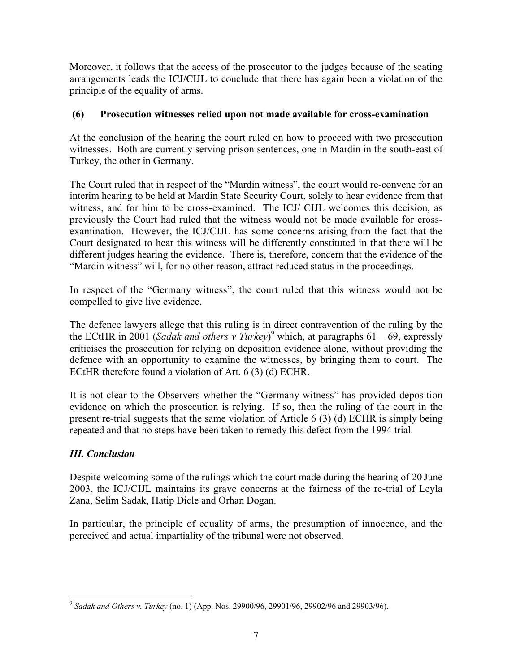Moreover, it follows that the access of the prosecutor to the judges because of the seating arrangements leads the ICJ/CIJL to conclude that there has again been a violation of the principle of the equality of arms.

# **(6) Prosecution witnesses relied upon not made available for cross-examination**

At the conclusion of the hearing the court ruled on how to proceed with two prosecution witnesses. Both are currently serving prison sentences, one in Mardin in the south-east of Turkey, the other in Germany.

The Court ruled that in respect of the "Mardin witness", the court would re-convene for an interim hearing to be held at Mardin State Security Court, solely to hear evidence from that witness, and for him to be cross-examined. The ICJ/ CIJL welcomes this decision, as previously the Court had ruled that the witness would not be made available for crossexamination. However, the ICJ/CIJL has some concerns arising from the fact that the Court designated to hear this witness will be differently constituted in that there will be different judges hearing the evidence. There is, therefore, concern that the evidence of the "Mardin witness" will, for no other reason, attract reduced status in the proceedings.

In respect of the "Germany witness", the court ruled that this witness would not be compelled to give live evidence.

The defence lawyers allege that this ruling is in direct contravention of the ruling by the the ECtHR in 2001 (*Sadak and others v Turkey*) <sup>9</sup> which, at paragraphs 61 – 69, expressly criticises the prosecution for relying on deposition evidence alone, without providing the defence with an opportunity to examine the witnesses, by bringing them to court. The ECtHR therefore found a violation of Art. 6 (3) (d) ECHR.

It is not clear to the Observers whether the "Germany witness" has provided deposition evidence on which the prosecution is relying. If so, then the ruling of the court in the present re-trial suggests that the same violation of Article 6 (3) (d) ECHR is simply being repeated and that no steps have been taken to remedy this defect from the 1994 trial.

# *III. Conclusion*

Despite welcoming some of the rulings which the court made during the hearing of 20 June 2003, the ICJ/CIJL maintains its grave concerns at the fairness of the re-trial of Leyla Zana, Selim Sadak, Hatip Dicle and Orhan Dogan.

In particular, the principle of equality of arms, the presumption of innocence, and the perceived and actual impartiality of the tribunal were not observed.

<sup>9</sup> *Sadak and Others v. Turkey* (no. 1) (App. Nos. 29900/96, 29901/96, 29902/96 and 29903/96).